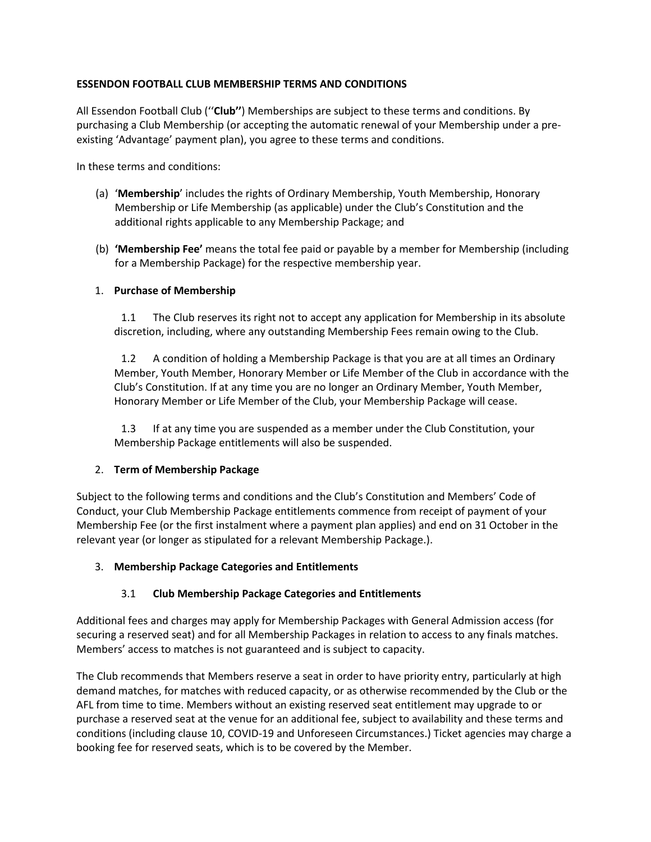## **ESSENDON FOOTBALL CLUB MEMBERSHIP TERMS AND CONDITIONS**

All Essendon Football Club (''**Club''**) Memberships are subject to these terms and conditions. By purchasing a Club Membership (or accepting the automatic renewal of your Membership under a preexisting 'Advantage' payment plan), you agree to these terms and conditions.

In these terms and conditions:

- (a) '**Membership**' includes the rights of Ordinary Membership, Youth Membership, Honorary Membership or Life Membership (as applicable) under the Club's Constitution and the additional rights applicable to any Membership Package; and
- (b) **'Membership Fee'** means the total fee paid or payable by a member for Membership (including for a Membership Package) for the respective membership year.

### 1. **Purchase of Membership**

1.1 The Club reserves its right not to accept any application for Membership in its absolute discretion, including, where any outstanding Membership Fees remain owing to the Club.

1.2 A condition of holding a Membership Package is that you are at all times an Ordinary Member, Youth Member, Honorary Member or Life Member of the Club in accordance with the Club's Constitution. If at any time you are no longer an Ordinary Member, Youth Member, Honorary Member or Life Member of the Club, your Membership Package will cease.

1.3 If at any time you are suspended as a member under the Club Constitution, your Membership Package entitlements will also be suspended.

### 2. **Term of Membership Package**

Subject to the following terms and conditions and the Club's Constitution and Members' Code of Conduct, your Club Membership Package entitlements commence from receipt of payment of your Membership Fee (or the first instalment where a payment plan applies) and end on 31 October in the relevant year (or longer as stipulated for a relevant Membership Package.).

### 3. **Membership Package Categories and Entitlements**

# 3.1 **Club Membership Package Categories and Entitlements**

Additional fees and charges may apply for Membership Packages with General Admission access (for securing a reserved seat) and for all Membership Packages in relation to access to any finals matches. Members' access to matches is not guaranteed and is subject to capacity.

The Club recommends that Members reserve a seat in order to have priority entry, particularly at high demand matches, for matches with reduced capacity, or as otherwise recommended by the Club or the AFL from time to time. Members without an existing reserved seat entitlement may upgrade to or purchase a reserved seat at the venue for an additional fee, subject to availability and these terms and conditions (including clause [10,](#page-12-0) COVID-19 and Unforeseen Circumstances.) Ticket agencies may charge a booking fee for reserved seats, which is to be covered by the Member.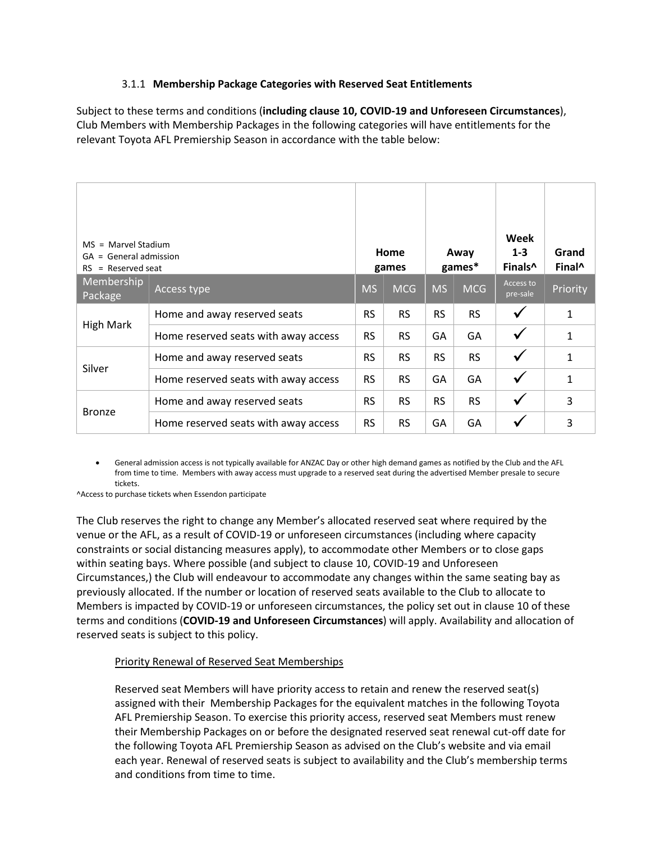### 3.1.1 **Membership Package Categories with Reserved Seat Entitlements**

Subject to these terms and conditions (**including clause [10,](#page-12-0) COVID-19 and Unforeseen Circumstances**), Club Members with Membership Packages in the following categories will have entitlements for the relevant Toyota AFL Premiership Season in accordance with the table below:

| $MS =$ Marvel Stadium<br>$=$ General admission<br>GA<br>$=$ Reserved seat<br><b>RS</b> |                                      | Home<br>games |            | Away<br>games* |            | Week<br>$1 - 3$<br>Finals <sup>^</sup> | Grand<br>Final <sup>^</sup> |
|----------------------------------------------------------------------------------------|--------------------------------------|---------------|------------|----------------|------------|----------------------------------------|-----------------------------|
| Membership<br>Package                                                                  | Access type                          | <b>MS</b>     | <b>MCG</b> | <b>MS</b>      | <b>MCG</b> | Access to<br>pre-sale                  | Priority                    |
| <b>High Mark</b>                                                                       | Home and away reserved seats         | <b>RS</b>     | <b>RS</b>  | <b>RS</b>      | <b>RS</b>  | $\checkmark$                           | 1                           |
|                                                                                        | Home reserved seats with away access | <b>RS</b>     | <b>RS</b>  | GA             | GA         | $\checkmark$                           | 1                           |
|                                                                                        | Home and away reserved seats         | <b>RS</b>     | <b>RS</b>  | <b>RS</b>      | <b>RS</b>  | $\checkmark$                           | 1                           |
| Silver                                                                                 | Home reserved seats with away access | <b>RS</b>     | <b>RS</b>  | GA             | GA         | ✓                                      | 1                           |
| <b>Bronze</b>                                                                          | Home and away reserved seats         | <b>RS</b>     | <b>RS</b>  | <b>RS</b>      | <b>RS</b>  | ✓                                      | 3                           |
|                                                                                        | Home reserved seats with away access | <b>RS</b>     | <b>RS</b>  | GA             | GA         |                                        | 3                           |

• General admission access is not typically available for ANZAC Day or other high demand games as notified by the Club and the AFL from time to time. Members with away access must upgrade to a reserved seat during the advertised Member presale to secure tickets.

^Access to purchase tickets when Essendon participate

The Club reserves the right to change any Member's allocated reserved seat where required by the venue or the AFL, as a result of COVID-19 or unforeseen circumstances (including where capacity constraints or social distancing measures apply), to accommodate other Members or to close gaps within seating bays. Where possible (and subject to claus[e 10,](#page-12-0) COVID-19 and Unforeseen Circumstances,) the Club will endeavour to accommodate any changes within the same seating bay as previously allocated. If the number or location of reserved seats available to the Club to allocate to Members is impacted by COVID-19 or unforeseen circumstances, the policy set out in clause [10](#page-12-0) of these terms and conditions (**COVID-19 and Unforeseen Circumstances**) will apply. Availability and allocation of reserved seats is subject to this policy.

### Priority Renewal of Reserved Seat Memberships

Reserved seat Members will have priority access to retain and renew the reserved seat(s) assigned with their Membership Packages for the equivalent matches in the following Toyota AFL Premiership Season. To exercise this priority access, reserved seat Members must renew their Membership Packages on or before the designated reserved seat renewal cut-off date for the following Toyota AFL Premiership Season as advised on the Club's website and via email each year. Renewal of reserved seats is subject to availability and the Club's membership terms and conditions from time to time.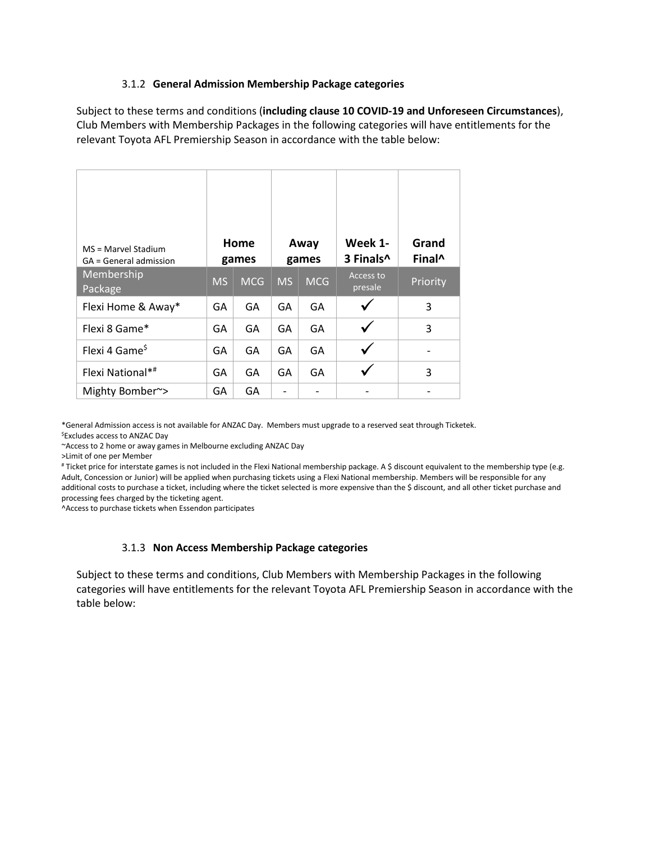#### 3.1.2 **General Admission Membership Package categories**

Subject to these terms and conditions (**including clause [10](#page-12-0) COVID-19 and Unforeseen Circumstances**), Club Members with Membership Packages in the following categories will have entitlements for the relevant Toyota AFL Premiership Season in accordance with the table below:

| MS = Marvel Stadium<br>GA = General admission | Home<br>games |            | Away<br>games |            | Week 1-<br>3 Finals <sup>^</sup> | Grand<br>Final <sup>^</sup> |
|-----------------------------------------------|---------------|------------|---------------|------------|----------------------------------|-----------------------------|
| Membership<br>Package                         | <b>MS</b>     | <b>MCG</b> | <b>MS</b>     | <b>MCG</b> | Access to<br>presale             | Priority                    |
| Flexi Home & Away*                            | GA            | GA         | GA            | GA         |                                  | 3                           |
| Flexi 8 Game*                                 | GA            | GA         | GA            | GA         |                                  | 3                           |
| Flexi 4 Game <sup>\$</sup>                    | GA            | GA         | GA            | GA         |                                  |                             |
| Flexi National*#                              | GA            | GА         | GA            | GA         |                                  | 3                           |
| Mighty Bomber~>                               | GA            | GA         |               |            |                                  |                             |

\*General Admission access is not available for ANZAC Day. Members must upgrade to a reserved seat through Ticketek.

\$Excludes access to ANZAC Day

~Access to 2 home or away games in Melbourne excluding ANZAC Day

>Limit of one per Member

# Ticket price for interstate games is not included in the Flexi National membership package. A \$ discount equivalent to the membership type (e.g. Adult, Concession or Junior) will be applied when purchasing tickets using a Flexi National membership. Members will be responsible for any additional costs to purchase a ticket, including where the ticket selected is more expensive than the \$ discount, and all other ticket purchase and processing fees charged by the ticketing agent.

^Access to purchase tickets when Essendon participates

#### 3.1.3 **Non Access Membership Package categories**

Subject to these terms and conditions, Club Members with Membership Packages in the following categories will have entitlements for the relevant Toyota AFL Premiership Season in accordance with the table below: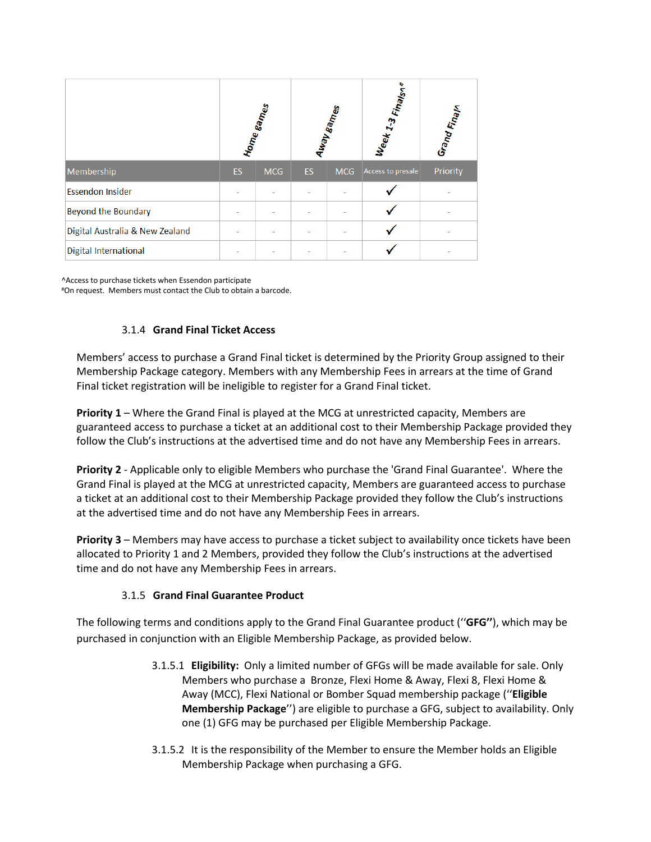|                                 | Hom <sub>e games</sub> |            | Away games |            | Week 1-3 Finalson | Grand Fina <sub>l</sub> n |
|---------------------------------|------------------------|------------|------------|------------|-------------------|---------------------------|
| Membership                      | ES                     | <b>MCG</b> | <b>ES</b>  | <b>MCG</b> | Access to presale | Priority                  |
| <b>Essendon Insider</b>         |                        |            |            |            |                   |                           |
| <b>Beyond the Boundary</b>      |                        |            |            |            |                   |                           |
| Digital Australia & New Zealand |                        |            |            |            |                   |                           |
| <b>Digital International</b>    |                        |            |            |            |                   |                           |

^Access to purchase tickets when Essendon participate #On request. Members must contact the Club to obtain a barcode.

# 3.1.4 **Grand Final Ticket Access**

Members' access to purchase a Grand Final ticket is determined by the Priority Group assigned to their Membership Package category. Members with any Membership Fees in arrears at the time of Grand Final ticket registration will be ineligible to register for a Grand Final ticket.

**Priority 1** – Where the Grand Final is played at the MCG at unrestricted capacity, Members are guaranteed access to purchase a ticket at an additional cost to their Membership Package provided they follow the Club's instructions at the advertised time and do not have any Membership Fees in arrears.

**Priority 2** - Applicable only to eligible Members who purchase the 'Grand Final Guarantee'. Where the Grand Final is played at the MCG at unrestricted capacity, Members are guaranteed access to purchase a ticket at an additional cost to their Membership Package provided they follow the Club's instructions at the advertised time and do not have any Membership Fees in arrears.

**Priority 3** – Members may have access to purchase a ticket subject to availability once tickets have been allocated to Priority 1 and 2 Members, provided they follow the Club's instructions at the advertised time and do not have any Membership Fees in arrears.

### 3.1.5 **Grand Final Guarantee Product**

The following terms and conditions apply to the Grand Final Guarantee product (''**GFG''**), which may be purchased in conjunction with an Eligible Membership Package, as provided below.

- 3.1.5.1 **Eligibility:** Only a limited number of GFGs will be made available for sale. Only Members who purchase a Bronze, Flexi Home & Away, Flexi 8, Flexi Home & Away (MCC), Flexi National or Bomber Squad membership package (''**Eligible Membership Package**'') are eligible to purchase a GFG, subject to availability. Only one (1) GFG may be purchased per Eligible Membership Package.
- 3.1.5.2 It is the responsibility of the Member to ensure the Member holds an Eligible Membership Package when purchasing a GFG.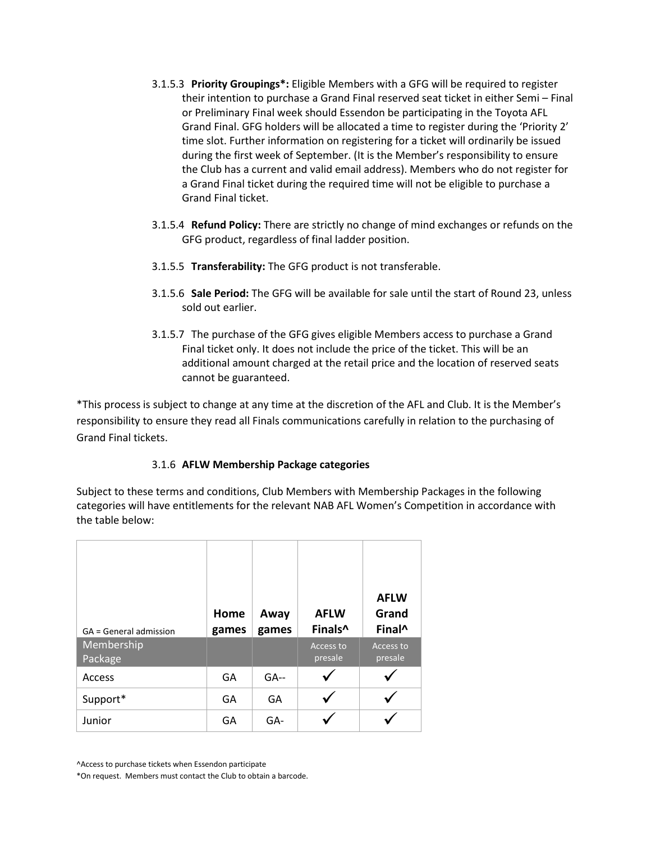- 3.1.5.3 **Priority Groupings\*:** Eligible Members with a GFG will be required to register their intention to purchase a Grand Final reserved seat ticket in either Semi – Final or Preliminary Final week should Essendon be participating in the Toyota AFL Grand Final. GFG holders will be allocated a time to register during the 'Priority 2' time slot. Further information on registering for a ticket will ordinarily be issued during the first week of September. (It is the Member's responsibility to ensure the Club has a current and valid email address). Members who do not register for a Grand Final ticket during the required time will not be eligible to purchase a Grand Final ticket.
- 3.1.5.4 **Refund Policy:** There are strictly no change of mind exchanges or refunds on the GFG product, regardless of final ladder position.
- 3.1.5.5 **Transferability:** The GFG product is not transferable.
- 3.1.5.6 **Sale Period:** The GFG will be available for sale until the start of Round 23, unless sold out earlier.
- 3.1.5.7 The purchase of the GFG gives eligible Members access to purchase a Grand Final ticket only. It does not include the price of the ticket. This will be an additional amount charged at the retail price and the location of reserved seats cannot be guaranteed.

\*This process is subject to change at any time at the discretion of the AFL and Club. It is the Member's responsibility to ensure they read all Finals communications carefully in relation to the purchasing of Grand Final tickets.

### 3.1.6 **AFLW Membership Package categories**

Subject to these terms and conditions, Club Members with Membership Packages in the following categories will have entitlements for the relevant NAB AFL Women's Competition in accordance with the table below:

| GA = General admission | Home<br>games | Away<br>games | <b>AFLW</b><br>Finals^ | <b>AFLW</b><br>Grand<br>Final <sup>^</sup> |
|------------------------|---------------|---------------|------------------------|--------------------------------------------|
| Membership<br>Package  |               |               | Access to<br>presale   | Access to<br>presale                       |
| Access                 | GA            | $GA-$         |                        |                                            |
| Support*               | GA            | GA            |                        |                                            |
| Junior                 | GА            | GA-           |                        |                                            |

^Access to purchase tickets when Essendon participate

\*On request. Members must contact the Club to obtain a barcode.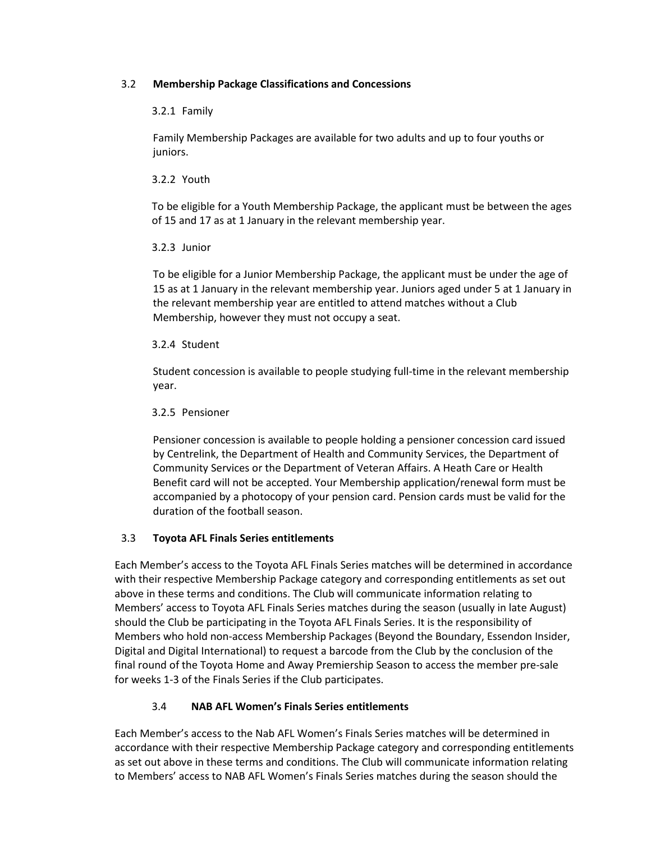## 3.2 **Membership Package Classifications and Concessions**

### 3.2.1 Family

Family Membership Packages are available for two adults and up to four youths or juniors.

### 3.2.2 Youth

To be eligible for a Youth Membership Package, the applicant must be between the ages of 15 and 17 as at 1 January in the relevant membership year.

### 3.2.3 Junior

To be eligible for a Junior Membership Package, the applicant must be under the age of 15 as at 1 January in the relevant membership year. Juniors aged under 5 at 1 January in the relevant membership year are entitled to attend matches without a Club Membership, however they must not occupy a seat.

### 3.2.4 Student

Student concession is available to people studying full-time in the relevant membership year.

### 3.2.5 Pensioner

Pensioner concession is available to people holding a pensioner concession card issued by Centrelink, the Department of Health and Community Services, the Department of Community Services or the Department of Veteran Affairs. A Heath Care or Health Benefit card will not be accepted. Your Membership application/renewal form must be accompanied by a photocopy of your pension card. Pension cards must be valid for the duration of the football season.

# 3.3 **Toyota AFL Finals Series entitlements**

Each Member's access to the Toyota AFL Finals Series matches will be determined in accordance with their respective Membership Package category and corresponding entitlements as set out above in these terms and conditions. The Club will communicate information relating to Members' access to Toyota AFL Finals Series matches during the season (usually in late August) should the Club be participating in the Toyota AFL Finals Series. It is the responsibility of Members who hold non-access Membership Packages (Beyond the Boundary, Essendon Insider, Digital and Digital International) to request a barcode from the Club by the conclusion of the final round of the Toyota Home and Away Premiership Season to access the member pre-sale for weeks 1-3 of the Finals Series if the Club participates.

# 3.4 **NAB AFL Women's Finals Series entitlements**

Each Member's access to the Nab AFL Women's Finals Series matches will be determined in accordance with their respective Membership Package category and corresponding entitlements as set out above in these terms and conditions. The Club will communicate information relating to Members' access to NAB AFL Women's Finals Series matches during the season should the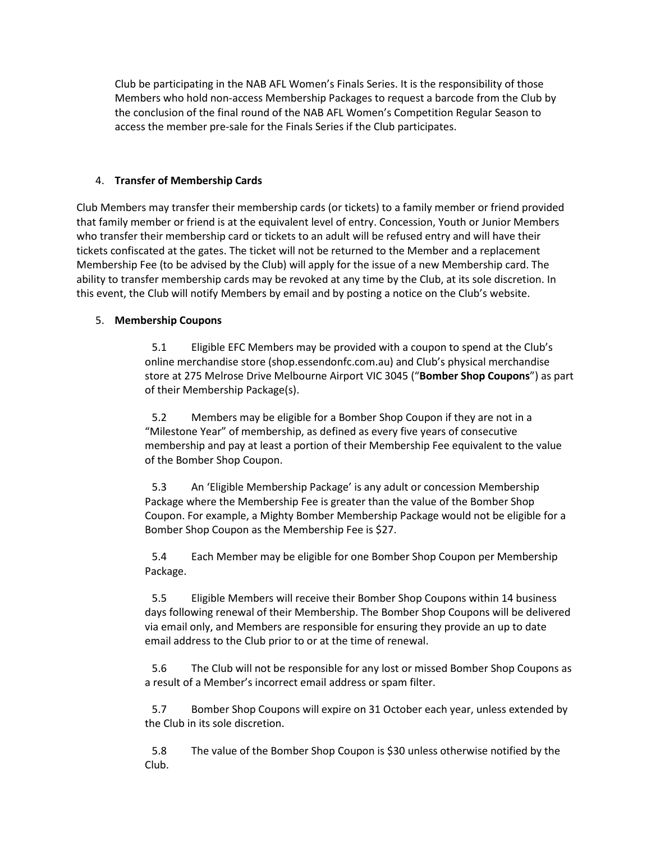Club be participating in the NAB AFL Women's Finals Series. It is the responsibility of those Members who hold non-access Membership Packages to request a barcode from the Club by the conclusion of the final round of the NAB AFL Women's Competition Regular Season to access the member pre-sale for the Finals Series if the Club participates.

### 4. **Transfer of Membership Cards**

Club Members may transfer their membership cards (or tickets) to a family member or friend provided that family member or friend is at the equivalent level of entry. Concession, Youth or Junior Members who transfer their membership card or tickets to an adult will be refused entry and will have their tickets confiscated at the gates. The ticket will not be returned to the Member and a replacement Membership Fee (to be advised by the Club) will apply for the issue of a new Membership card. The ability to transfer membership cards may be revoked at any time by the Club, at its sole discretion. In this event, the Club will notify Members by email and by posting a notice on the Club's website.

### 5. **Membership Coupons**

5.1 Eligible EFC Members may be provided with a coupon to spend at the Club's online merchandise store (shop.essendonfc.com.au) and Club's physical merchandise store at 275 Melrose Drive Melbourne Airport VIC 3045 ("**Bomber Shop Coupons**") as part of their Membership Package(s).

5.2 Members may be eligible for a Bomber Shop Coupon if they are not in a "Milestone Year" of membership, as defined as every five years of consecutive membership and pay at least a portion of their Membership Fee equivalent to the value of the Bomber Shop Coupon.

5.3 An 'Eligible Membership Package' is any adult or concession Membership Package where the Membership Fee is greater than the value of the Bomber Shop Coupon. For example, a Mighty Bomber Membership Package would not be eligible for a Bomber Shop Coupon as the Membership Fee is \$27.

5.4 Each Member may be eligible for one Bomber Shop Coupon per Membership Package.

5.5 Eligible Members will receive their Bomber Shop Coupons within 14 business days following renewal of their Membership. The Bomber Shop Coupons will be delivered via email only, and Members are responsible for ensuring they provide an up to date email address to the Club prior to or at the time of renewal.

5.6 The Club will not be responsible for any lost or missed Bomber Shop Coupons as a result of a Member's incorrect email address or spam filter.

5.7 Bomber Shop Coupons will expire on 31 October each year, unless extended by the Club in its sole discretion.

5.8 The value of the Bomber Shop Coupon is \$30 unless otherwise notified by the Club.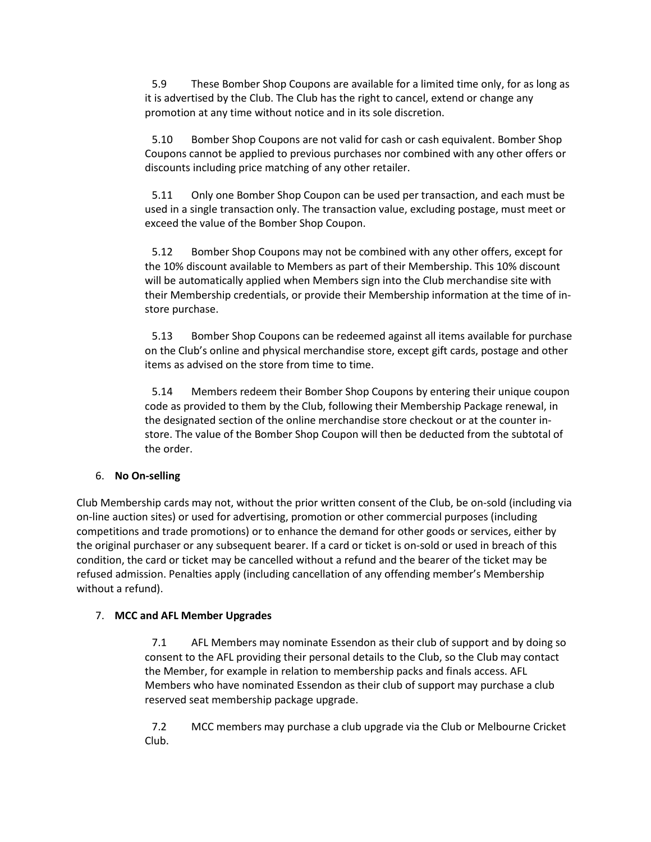5.9 These Bomber Shop Coupons are available for a limited time only, for as long as it is advertised by the Club. The Club has the right to cancel, extend or change any promotion at any time without notice and in its sole discretion.

5.10 Bomber Shop Coupons are not valid for cash or cash equivalent. Bomber Shop Coupons cannot be applied to previous purchases nor combined with any other offers or discounts including price matching of any other retailer.

5.11 Only one Bomber Shop Coupon can be used per transaction, and each must be used in a single transaction only. The transaction value, excluding postage, must meet or exceed the value of the Bomber Shop Coupon.

5.12 Bomber Shop Coupons may not be combined with any other offers, except for the 10% discount available to Members as part of their Membership. This 10% discount will be automatically applied when Members sign into the Club merchandise site with their Membership credentials, or provide their Membership information at the time of instore purchase.

5.13 Bomber Shop Coupons can be redeemed against all items available for purchase on the Club's online and physical merchandise store, except gift cards, postage and other items as advised on the store from time to time.

5.14 Members redeem their Bomber Shop Coupons by entering their unique coupon code as provided to them by the Club, following their Membership Package renewal, in the designated section of the online merchandise store checkout or at the counter instore. The value of the Bomber Shop Coupon will then be deducted from the subtotal of the order.

# 6. **No On-selling**

Club Membership cards may not, without the prior written consent of the Club, be on-sold (including via on-line auction sites) or used for advertising, promotion or other commercial purposes (including competitions and trade promotions) or to enhance the demand for other goods or services, either by the original purchaser or any subsequent bearer. If a card or ticket is on-sold or used in breach of this condition, the card or ticket may be cancelled without a refund and the bearer of the ticket may be refused admission. Penalties apply (including cancellation of any offending member's Membership without a refund).

### 7. **MCC and AFL Member Upgrades**

7.1 AFL Members may nominate Essendon as their club of support and by doing so consent to the AFL providing their personal details to the Club, so the Club may contact the Member, for example in relation to membership packs and finals access. AFL Members who have nominated Essendon as their club of support may purchase a club reserved seat membership package upgrade.

7.2 MCC members may purchase a club upgrade via the Club or Melbourne Cricket Club.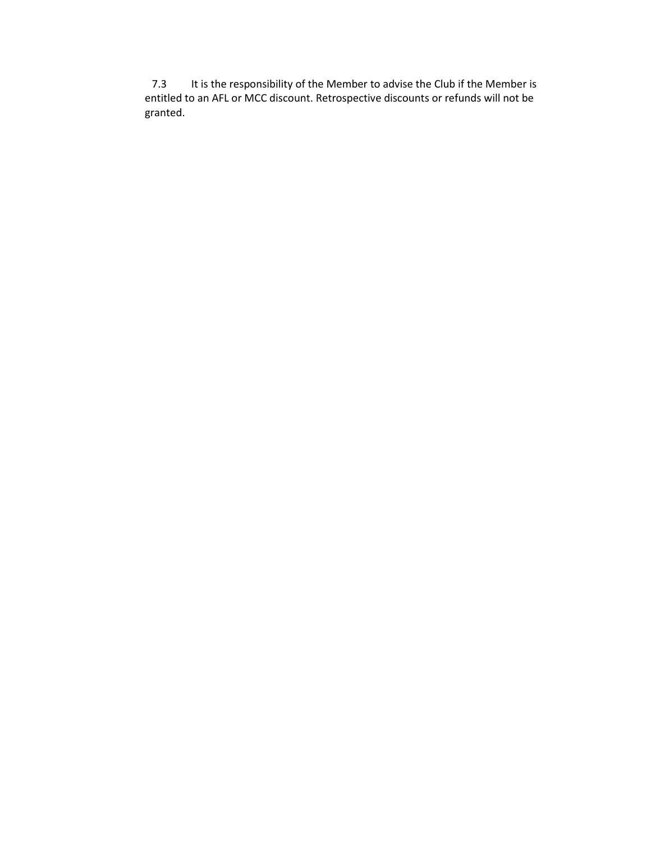7.3 It is the responsibility of the Member to advise the Club if the Member is entitled to an AFL or MCC discount. Retrospective discounts or refunds will not be granted.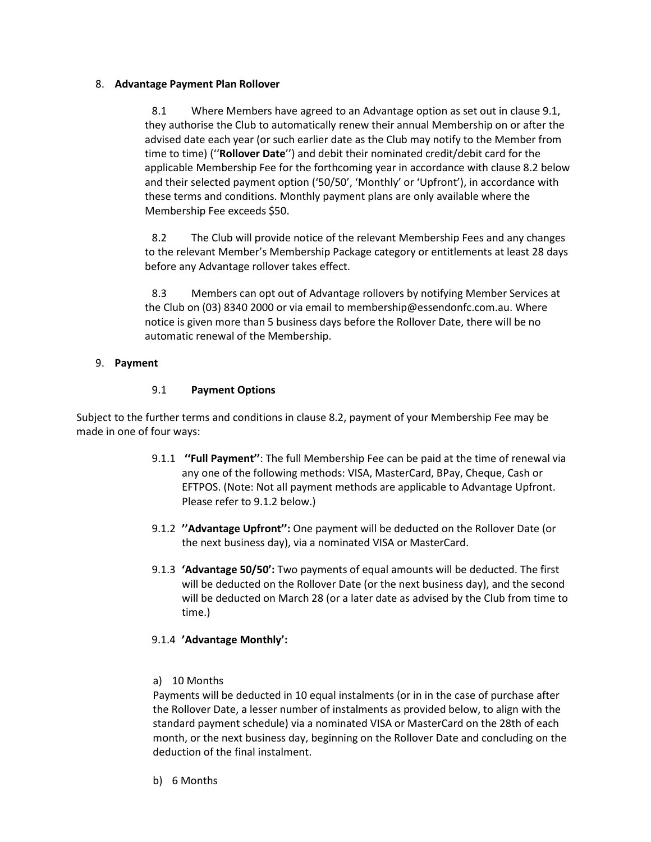### 8. **Advantage Payment Plan Rollover**

8.1 Where Members have agreed to an Advantage option as set out in clause [9.1,](#page-9-0) they authorise the Club to automatically renew their annual Membership on or after the advised date each year (or such earlier date as the Club may notify to the Member from time to time) (''**Rollover Date**'') and debit their nominated credit/debit card for the applicable Membership Fee for the forthcoming year in accordance with clause [8.2](#page-9-1) below and their selected payment option ('50/50', 'Monthly' or 'Upfront'), in accordance with these terms and conditions. Monthly payment plans are only available where the Membership Fee exceeds \$50.

<span id="page-9-1"></span>8.2 The Club will provide notice of the relevant Membership Fees and any changes to the relevant Member's Membership Package category or entitlements at least 28 days before any Advantage rollover takes effect.

8.3 Members can opt out of Advantage rollovers by notifying Member Services at the Club on (03) 8340 2000 or via email to [membership@essendonfc.com.au.](mailto:membership@essendonfc.com.au) Where notice is given more than 5 business days before the Rollover Date, there will be no automatic renewal of the Membership.

# 9. **Payment**

### 9.1 **Payment Options**

<span id="page-9-0"></span>Subject to the further terms and conditions in clause [8.2,](#page-9-1) payment of your Membership Fee may be made in one of four ways:

- 9.1.1 **''Full Payment''**: The full Membership Fee can be paid at the time of renewal via any one of the following methods: VISA, MasterCard, BPay, Cheque, Cash or EFTPOS. (Note: Not all payment methods are applicable to Advantage Upfront. Please refer to [9.1.2](#page-9-2) below.)
- <span id="page-9-2"></span>9.1.2 **''Advantage Upfront'':** One payment will be deducted on the Rollover Date (or the next business day), via a nominated VISA or MasterCard.
- 9.1.3 **'Advantage 50/50':** Two payments of equal amounts will be deducted. The first will be deducted on the Rollover Date (or the next business day), and the second will be deducted on March 28 (or a later date as advised by the Club from time to time.)

# 9.1.4 **'Advantage Monthly':**

a) 10 Months

Payments will be deducted in 10 equal instalments (or in in the case of purchase after the Rollover Date, a lesser number of instalments as provided below, to align with the standard payment schedule) via a nominated VISA or MasterCard on the 28th of each month, or the next business day, beginning on the Rollover Date and concluding on the deduction of the final instalment.

b) 6 Months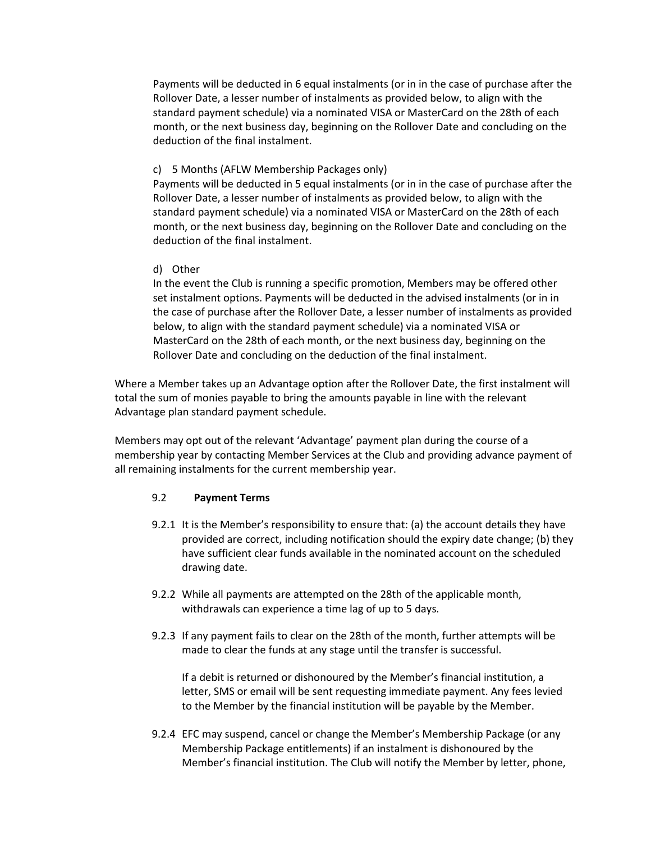Payments will be deducted in 6 equal instalments (or in in the case of purchase after the Rollover Date, a lesser number of instalments as provided below, to align with the standard payment schedule) via a nominated VISA or MasterCard on the 28th of each month, or the next business day, beginning on the Rollover Date and concluding on the deduction of the final instalment.

#### c) 5 Months (AFLW Membership Packages only)

Payments will be deducted in 5 equal instalments (or in in the case of purchase after the Rollover Date, a lesser number of instalments as provided below, to align with the standard payment schedule) via a nominated VISA or MasterCard on the 28th of each month, or the next business day, beginning on the Rollover Date and concluding on the deduction of the final instalment.

#### d) Other

In the event the Club is running a specific promotion, Members may be offered other set instalment options. Payments will be deducted in the advised instalments (or in in the case of purchase after the Rollover Date, a lesser number of instalments as provided below, to align with the standard payment schedule) via a nominated VISA or MasterCard on the 28th of each month, or the next business day, beginning on the Rollover Date and concluding on the deduction of the final instalment.

Where a Member takes up an Advantage option after the Rollover Date, the first instalment will total the sum of monies payable to bring the amounts payable in line with the relevant Advantage plan standard payment schedule.

Members may opt out of the relevant 'Advantage' payment plan during the course of a membership year by contacting Member Services at the Club and providing advance payment of all remaining instalments for the current membership year.

### 9.2 **Payment Terms**

- 9.2.1 It is the Member's responsibility to ensure that: (a) the account details they have provided are correct, including notification should the expiry date change; (b) they have sufficient clear funds available in the nominated account on the scheduled drawing date.
- 9.2.2 While all payments are attempted on the 28th of the applicable month, withdrawals can experience a time lag of up to 5 days.
- 9.2.3 If any payment fails to clear on the 28th of the month, further attempts will be made to clear the funds at any stage until the transfer is successful.

If a debit is returned or dishonoured by the Member's financial institution, a letter, SMS or email will be sent requesting immediate payment. Any fees levied to the Member by the financial institution will be payable by the Member.

9.2.4 EFC may suspend, cancel or change the Member's Membership Package (or any Membership Package entitlements) if an instalment is dishonoured by the Member's financial institution. The Club will notify the Member by letter, phone,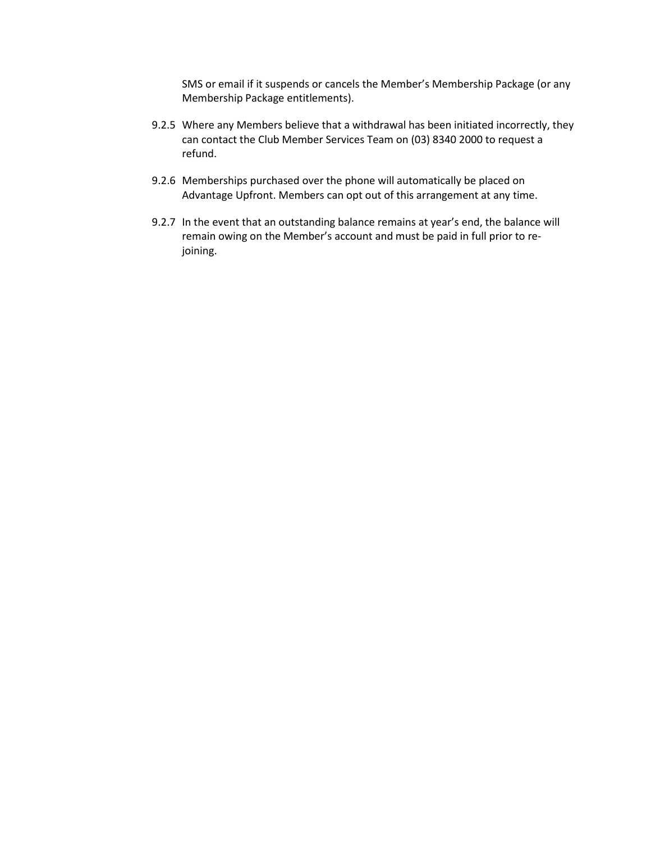SMS or email if it suspends or cancels the Member's Membership Package (or any Membership Package entitlements).

- 9.2.5 Where any Members believe that a withdrawal has been initiated incorrectly, they can contact the Club Member Services Team on (03) 8340 2000 to request a refund.
- 9.2.6 Memberships purchased over the phone will automatically be placed on Advantage Upfront. Members can opt out of this arrangement at any time.
- 9.2.7 In the event that an outstanding balance remains at year's end, the balance will remain owing on the Member's account and must be paid in full prior to rejoining.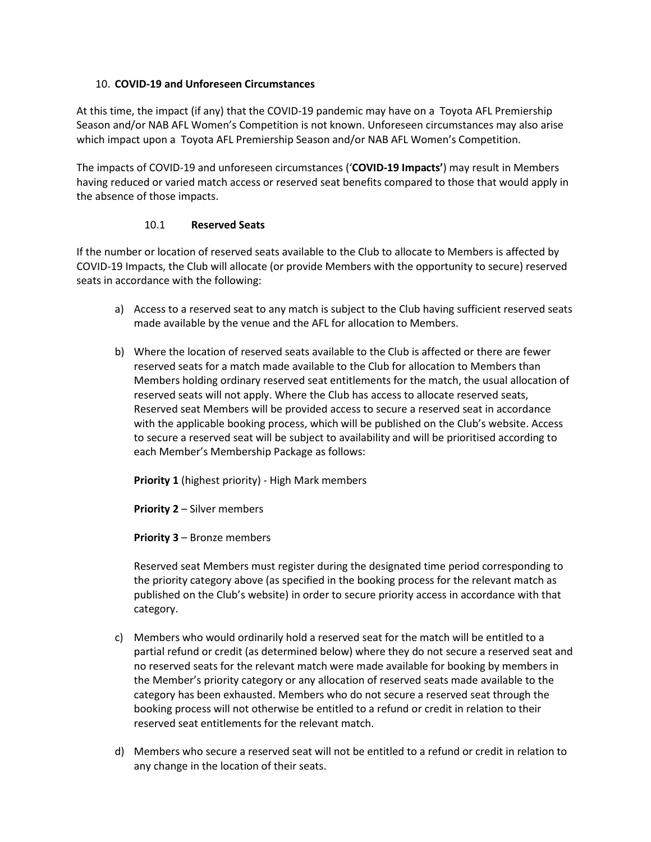### <span id="page-12-1"></span><span id="page-12-0"></span>10. **COVID-19 and Unforeseen Circumstances**

At this time, the impact (if any) that the COVID-19 pandemic may have on a Toyota AFL Premiership Season and/or NAB AFL Women's Competition is not known. Unforeseen circumstances may also arise which impact upon a Toyota AFL Premiership Season and/or NAB AFL Women's Competition.

The impacts of COVID-19 and unforeseen circumstances ('**COVID-19 Impacts'**) may result in Members having reduced or varied match access or reserved seat benefits compared to those that would apply in the absence of those impacts.

### 10.1 **Reserved Seats**

If the number or location of reserved seats available to the Club to allocate to Members is affected by COVID-19 Impacts, the Club will allocate (or provide Members with the opportunity to secure) reserved seats in accordance with the following:

- a) Access to a reserved seat to any match is subject to the Club having sufficient reserved seats made available by the venue and the AFL for allocation to Members.
- b) Where the location of reserved seats available to the Club is affected or there are fewer reserved seats for a match made available to the Club for allocation to Members than Members holding ordinary reserved seat entitlements for the match, the usual allocation of reserved seats will not apply. Where the Club has access to allocate reserved seats, Reserved seat Members will be provided access to secure a reserved seat in accordance with the applicable booking process, which will be published on the Club's website. Access to secure a reserved seat will be subject to availability and will be prioritised according to each Member's Membership Package as follows:

**Priority 1** (highest priority) - High Mark members

**Priority 2** – Silver members

**Priority 3** – Bronze members

Reserved seat Members must register during the designated time period corresponding to the priority category above (as specified in the booking process for the relevant match as published on the Club's website) in order to secure priority access in accordance with that category.

- c) Members who would ordinarily hold a reserved seat for the match will be entitled to a partial refund or credit (as determined below) where they do not secure a reserved seat and no reserved seats for the relevant match were made available for booking by members in the Member's priority category or any allocation of reserved seats made available to the category has been exhausted. Members who do not secure a reserved seat through the booking process will not otherwise be entitled to a refund or credit in relation to their reserved seat entitlements for the relevant match.
- d) Members who secure a reserved seat will not be entitled to a refund or credit in relation to any change in the location of their seats.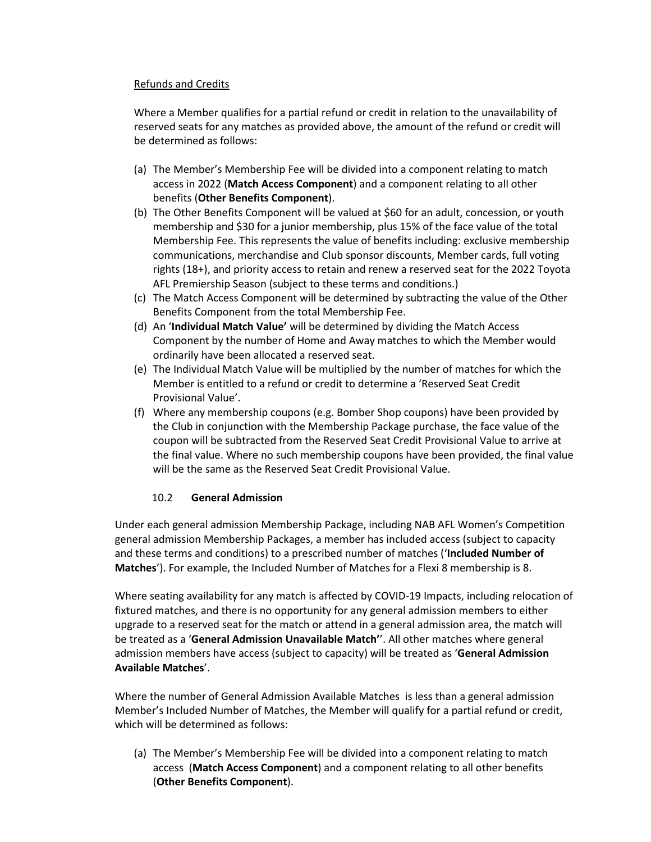### Refunds and Credits

Where a Member qualifies for a partial refund or credit in relation to the unavailability of reserved seats for any matches as provided above, the amount of the refund or credit will be determined as follows:

- (a) The Member's Membership Fee will be divided into a component relating to match access in 2022 (**Match Access Component**) and a component relating to all other benefits (**Other Benefits Component**).
- (b) The Other Benefits Component will be valued at \$60 for an adult, concession, or youth membership and \$30 for a junior membership, plus 15% of the face value of the total Membership Fee. This represents the value of benefits including: exclusive membership communications, merchandise and Club sponsor discounts, Member cards, full voting rights (18+), and priority access to retain and renew a reserved seat for the 2022 Toyota AFL Premiership Season (subject to these terms and conditions.)
- (c) The Match Access Component will be determined by subtracting the value of the Other Benefits Component from the total Membership Fee.
- (d) An '**Individual Match Value'** will be determined by dividing the Match Access Component by the number of Home and Away matches to which the Member would ordinarily have been allocated a reserved seat.
- (e) The Individual Match Value will be multiplied by the number of matches for which the Member is entitled to a refund or credit to determine a 'Reserved Seat Credit Provisional Value'.
- (f) Where any membership coupons (e.g. Bomber Shop coupons) have been provided by the Club in conjunction with the Membership Package purchase, the face value of the coupon will be subtracted from the Reserved Seat Credit Provisional Value to arrive at the final value. Where no such membership coupons have been provided, the final value will be the same as the Reserved Seat Credit Provisional Value.

### 10.2 **General Admission**

Under each general admission Membership Package, including NAB AFL Women's Competition general admission Membership Packages, a member has included access (subject to capacity and these terms and conditions) to a prescribed number of matches ('**Included Number of Matches**'). For example, the Included Number of Matches for a Flexi 8 membership is 8.

Where seating availability for any match is affected by COVID-19 Impacts, including relocation of fixtured matches, and there is no opportunity for any general admission members to either upgrade to a reserved seat for the match or attend in a general admission area, the match will be treated as a '**General Admission Unavailable Match'**'. All other matches where general admission members have access (subject to capacity) will be treated as '**General Admission Available Matches**'.

Where the number of General Admission Available Matches is less than a general admission Member's Included Number of Matches, the Member will qualify for a partial refund or credit, which will be determined as follows:

(a) The Member's Membership Fee will be divided into a component relating to match access (**Match Access Component**) and a component relating to all other benefits (**Other Benefits Component**).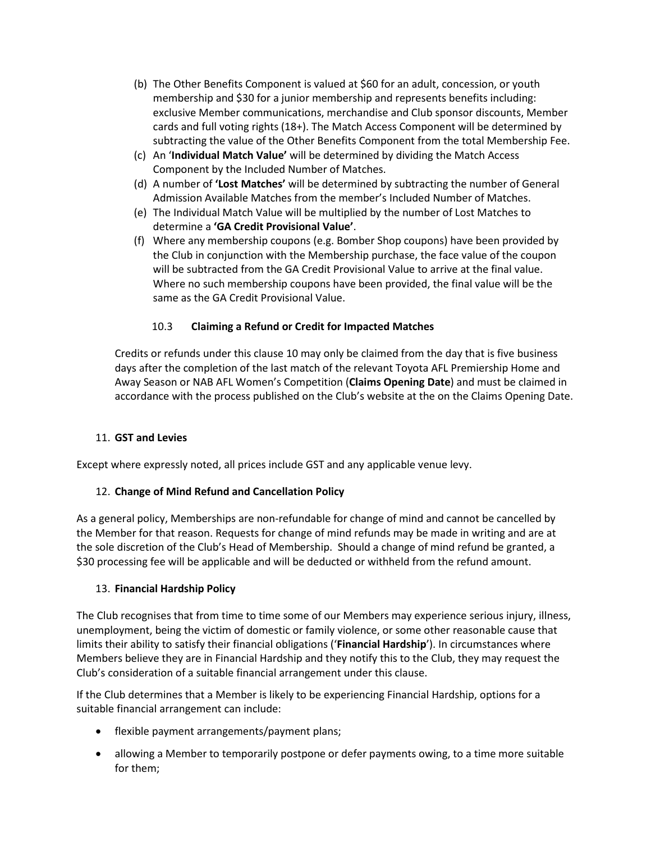- (b) The Other Benefits Component is valued at \$60 for an adult, concession, or youth membership and \$30 for a junior membership and represents benefits including: exclusive Member communications, merchandise and Club sponsor discounts, Member cards and full voting rights (18+). The Match Access Component will be determined by subtracting the value of the Other Benefits Component from the total Membership Fee.
- (c) An '**Individual Match Value'** will be determined by dividing the Match Access Component by the Included Number of Matches.
- (d) A number of **'Lost Matches'** will be determined by subtracting the number of General Admission Available Matches from the member's Included Number of Matches.
- (e) The Individual Match Value will be multiplied by the number of Lost Matches to determine a **'GA Credit Provisional Value'**.
- (f) Where any membership coupons (e.g. Bomber Shop coupons) have been provided by the Club in conjunction with the Membership purchase, the face value of the coupon will be subtracted from the GA Credit Provisional Value to arrive at the final value. Where no such membership coupons have been provided, the final value will be the same as the GA Credit Provisional Value.

# 10.3 **Claiming a Refund or Credit for Impacted Matches**

Credits or refunds under this clause [10](#page-12-1) may only be claimed from the day that is five business days after the completion of the last match of the relevant Toyota AFL Premiership Home and Away Season or NAB AFL Women's Competition (**Claims Opening Date**) and must be claimed in accordance with the process published on the Club's website at the on the Claims Opening Date.

### 11. **GST and Levies**

Except where expressly noted, all prices include GST and any applicable venue levy.

# 12. **Change of Mind Refund and Cancellation Policy**

As a general policy, Memberships are non-refundable for change of mind and cannot be cancelled by the Member for that reason. Requests for change of mind refunds may be made in writing and are at the sole discretion of the Club's Head of Membership. Should a change of mind refund be granted, a \$30 processing fee will be applicable and will be deducted or withheld from the refund amount.

### 13. **Financial Hardship Policy**

The Club recognises that from time to time some of our Members may experience serious injury, illness, unemployment, being the victim of domestic or family violence, or some other reasonable cause that limits their ability to satisfy their financial obligations ('**Financial Hardship**'). In circumstances where Members believe they are in Financial Hardship and they notify this to the Club, they may request the Club's consideration of a suitable financial arrangement under this clause.

If the Club determines that a Member is likely to be experiencing Financial Hardship, options for a suitable financial arrangement can include:

- flexible payment arrangements/payment plans;
- allowing a Member to temporarily postpone or defer payments owing, to a time more suitable for them;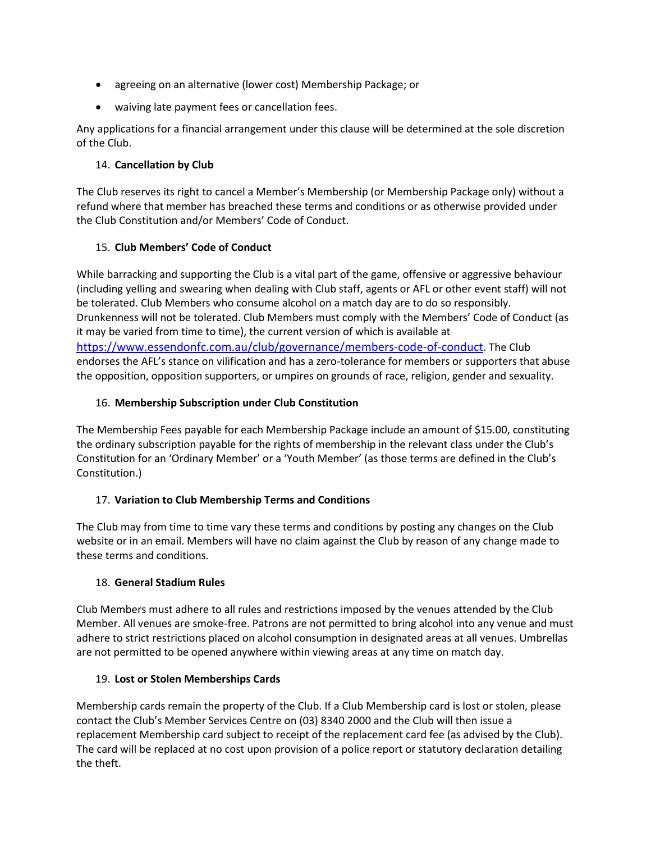- agreeing on an alternative (lower cost) Membership Package; or
- waiving late payment fees or cancellation fees.

Any applications for a financial arrangement under this clause will be determined at the sole discretion of the Club.

# 14. **Cancellation by Club**

The Club reserves its right to cancel a Member's Membership (or Membership Package only) without a refund where that member has breached these terms and conditions or as otherwise provided under the Club Constitution and/or Members' Code of Conduct.

# 15. **Club Members' Code of Conduct**

While barracking and supporting the Club is a vital part of the game, offensive or aggressive behaviour (including yelling and swearing when dealing with Club staff, agents or AFL or other event staff) will not be tolerated. Club Members who consume alcohol on a match day are to do so responsibly. Drunkenness will not be tolerated. Club Members must comply with the Members' Code of Conduct (as it may be varied from time to time), the current version of which is available at [https://www.essendonfc.com.au/club/governance/members-code-of-conduct.](https://www.essendonfc.com.au/club/governance/members-code-of-conduct) The Club endorses the AFL's stance on vilification and has a zero-tolerance for members or supporters that abuse the opposition, opposition supporters, or umpires on grounds of race, religion, gender and sexuality.

# 16. **Membership Subscription under Club Constitution**

The Membership Fees payable for each Membership Package include an amount of \$15.00, constituting the ordinary subscription payable for the rights of membership in the relevant class under the Club's Constitution for an 'Ordinary Member' or a 'Youth Member' (as those terms are defined in the Club's Constitution.)

# 17. **Variation to Club Membership Terms and Conditions**

The Club may from time to time vary these terms and conditions by posting any changes on the Club website or in an email. Members will have no claim against the Club by reason of any change made to these terms and conditions.

# 18. **General Stadium Rules**

Club Members must adhere to all rules and restrictions imposed by the venues attended by the Club Member. All venues are smoke-free. Patrons are not permitted to bring alcohol into any venue and must adhere to strict restrictions placed on alcohol consumption in designated areas at all venues. Umbrellas are not permitted to be opened anywhere within viewing areas at any time on match day.

# 19. **Lost or Stolen Memberships Cards**

Membership cards remain the property of the Club. If a Club Membership card is lost or stolen, please contact the Club's Member Services Centre on (03) 8340 2000 and the Club will then issue a replacement Membership card subject to receipt of the replacement card fee (as advised by the Club). The card will be replaced at no cost upon provision of a police report or statutory declaration detailing the theft.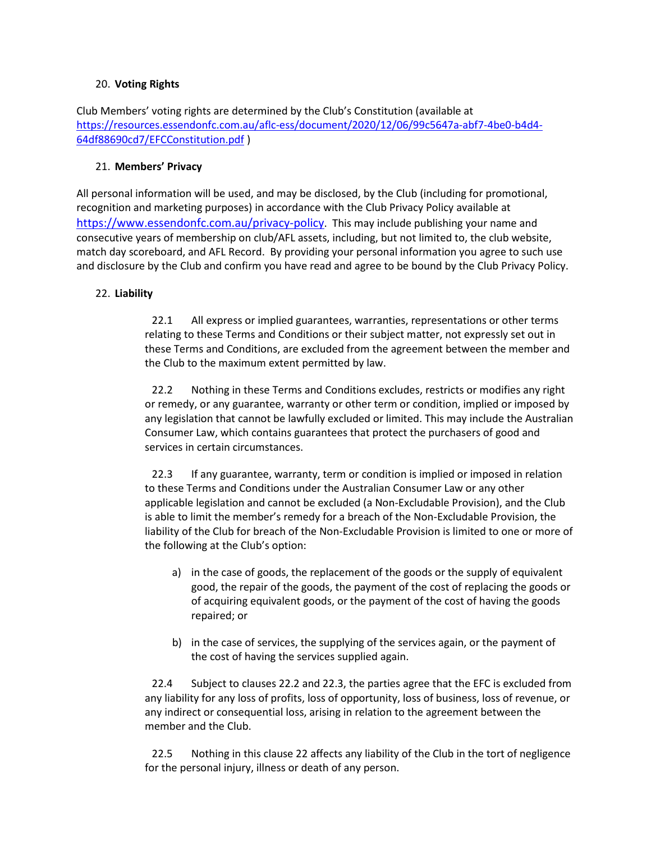### 20. **Voting Rights**

Club Members' voting rights are determined by the Club's Constitution (available at [https://resources.essendonfc.com.au/aflc-ess/document/2020/12/06/99c5647a-abf7-4be0-b4d4-](https://resources.essendonfc.com.au/aflc-ess/document/2020/12/06/99c5647a-abf7-4be0-b4d4-64df88690cd7/EFCConstitution.pdf) [64df88690cd7/EFCConstitution.pdf](https://resources.essendonfc.com.au/aflc-ess/document/2020/12/06/99c5647a-abf7-4be0-b4d4-64df88690cd7/EFCConstitution.pdf) )

### 21. **Members' Privacy**

All personal information will be used, and may be disclosed, by the Club (including for promotional, recognition and marketing purposes) in accordance with the Club Privacy Policy available at [https://www.essendonfc.com.au/privacy-policy.](https://www.essendonfc.com.au/privacy-policy) This may include publishing your name and consecutive years of membership on club/AFL assets, including, but not limited to, the club website, match day scoreboard, and AFL Record. By providing your personal information you agree to such use and disclosure by the Club and confirm you have read and agree to be bound by the Club Privacy Policy.

# <span id="page-17-2"></span>22. **Liability**

22.1 All express or implied guarantees, warranties, representations or other terms relating to these Terms and Conditions or their subject matter, not expressly set out in these Terms and Conditions, are excluded from the agreement between the member and the Club to the maximum extent permitted by law.

<span id="page-17-0"></span>22.2 Nothing in these Terms and Conditions excludes, restricts or modifies any right or remedy, or any guarantee, warranty or other term or condition, implied or imposed by any legislation that cannot be lawfully excluded or limited. This may include the Australian Consumer Law, which contains guarantees that protect the purchasers of good and services in certain circumstances.

<span id="page-17-1"></span>22.3 If any guarantee, warranty, term or condition is implied or imposed in relation to these Terms and Conditions under the Australian Consumer Law or any other applicable legislation and cannot be excluded (a Non-Excludable Provision), and the Club is able to limit the member's remedy for a breach of the Non-Excludable Provision, the liability of the Club for breach of the Non-Excludable Provision is limited to one or more of the following at the Club's option:

- a) in the case of goods, the replacement of the goods or the supply of equivalent good, the repair of the goods, the payment of the cost of replacing the goods or of acquiring equivalent goods, or the payment of the cost of having the goods repaired; or
- b) in the case of services, the supplying of the services again, or the payment of the cost of having the services supplied again.

22.4 Subject to clauses [22.2](#page-17-0) an[d 22.3,](#page-17-1) the parties agree that the EFC is excluded from any liability for any loss of profits, loss of opportunity, loss of business, loss of revenue, or any indirect or consequential loss, arising in relation to the agreement between the member and the Club.

22.5 Nothing in this clause [22](#page-17-2) affects any liability of the Club in the tort of negligence for the personal injury, illness or death of any person.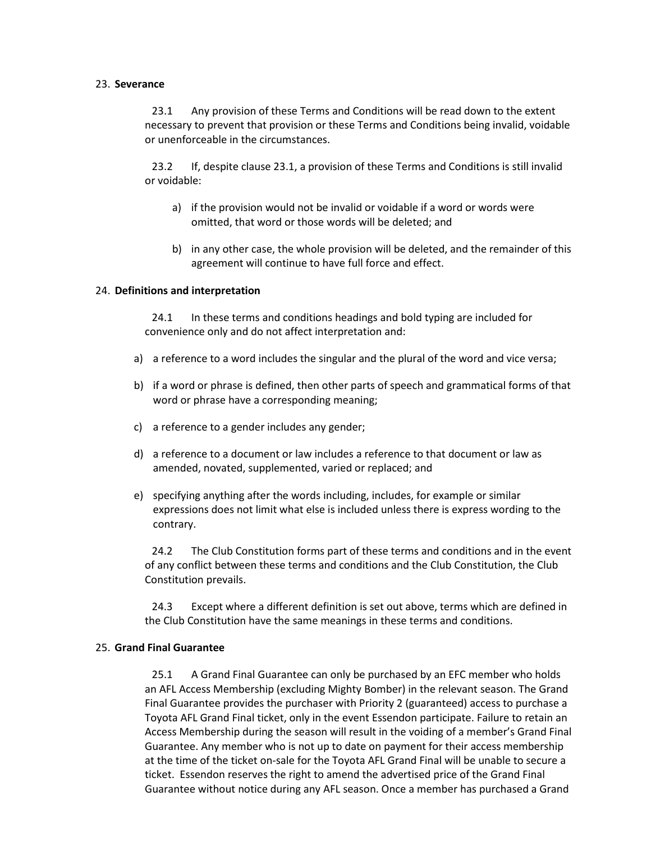#### <span id="page-18-0"></span>23. **Severance**

23.1 Any provision of these Terms and Conditions will be read down to the extent necessary to prevent that provision or these Terms and Conditions being invalid, voidable or unenforceable in the circumstances.

23.2 If, despite clause [23.1,](#page-18-0) a provision of these Terms and Conditions is still invalid or voidable:

- a) if the provision would not be invalid or voidable if a word or words were omitted, that word or those words will be deleted; and
- b) in any other case, the whole provision will be deleted, and the remainder of this agreement will continue to have full force and effect.

#### 24. **Definitions and interpretation**

24.1 In these terms and conditions headings and bold typing are included for convenience only and do not affect interpretation and:

- a) a reference to a word includes the singular and the plural of the word and vice versa;
- b) if a word or phrase is defined, then other parts of speech and grammatical forms of that word or phrase have a corresponding meaning;
- c) a reference to a gender includes any gender;
- d) a reference to a document or law includes a reference to that document or law as amended, novated, supplemented, varied or replaced; and
- e) specifying anything after the words including, includes, for example or similar expressions does not limit what else is included unless there is express wording to the contrary.

24.2 The Club Constitution forms part of these terms and conditions and in the event of any conflict between these terms and conditions and the Club Constitution, the Club Constitution prevails.

24.3 Except where a different definition is set out above, terms which are defined in the Club Constitution have the same meanings in these terms and conditions.

#### 25. **Grand Final Guarantee**

25.1 A Grand Final Guarantee can only be purchased by an EFC member who holds an AFL Access Membership (excluding Mighty Bomber) in the relevant season. The Grand Final Guarantee provides the purchaser with Priority 2 (guaranteed) access to purchase a Toyota AFL Grand Final ticket, only in the event Essendon participate. Failure to retain an Access Membership during the season will result in the voiding of a member's Grand Final Guarantee. Any member who is not up to date on payment for their access membership at the time of the ticket on-sale for the Toyota AFL Grand Final will be unable to secure a ticket. Essendon reserves the right to amend the advertised price of the Grand Final Guarantee without notice during any AFL season. Once a member has purchased a Grand